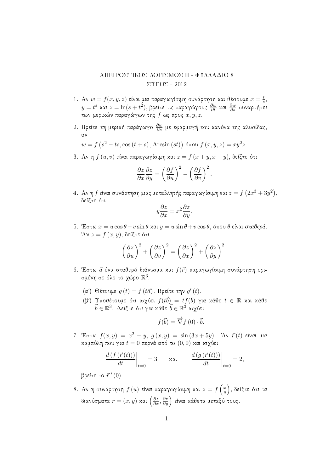## ΑΠΕΙΡΟΣΤΙΚΟΣ ΛΟΓΙΣΜΟΣ ΙΙ - ΦΥΛΛΑΔΙΟ 8  $\Sigma$ YPO $\Sigma$  - 2012

- 1. Αν  $w = f(x, y, z)$  είναι μια παραγωγίσιμη συνάρτηση και θέσουμε  $x = \frac{t}{s}$ ,  $y = t^s$  και  $z = \ln(s + t^2)$ , βρείτε τις παραγώγους  $\frac{\partial w}{\partial t}$  και  $\frac{\partial w}{\partial s}$  συναρτήσει των μερικών παραγώγων της  $f$  ως προς  $x, y, z$ .
- 2. Βρείτε τη μερική παράγωγο θω με εφαρμογή του κανόνα της αλυσίδας,  $\alpha\vee$

$$
w = f\left(s^2 - ts, \cos\left(t + s\right), \text{Arcsin}\left(st\right)\right) \text{ ótou } f\left(x, y, z\right) = xy^2 z
$$

3. Αν η  $f(u, v)$  είναι παραγωγίσιμη και  $z = f(x + y, x - y)$ , δείξτε ότι

$$
\frac{\partial z}{\partial x}\frac{\partial z}{\partial y} = \left(\frac{\partial f}{\partial u}\right)^2 - \left(\frac{\partial f}{\partial v}\right)^2.
$$

4. Αν η  $f$  είναι συνάρτηση μιας μεταβλητής παραγωγίσιμη και  $z = f(2x^3 + 3y^2)$ . δείξτε ότι

$$
y\frac{\partial z}{\partial x} = x^2 \frac{\partial z}{\partial y}
$$

5. Έστω  $x = u \cos \theta - v \sin \theta$  και  $y = u \sin \theta + v \cos \theta$ , όπου θ είναι σταθερά. Άν  $z = f(x, y)$ , δείξτε ότι

$$
\left(\frac{\partial z}{\partial u}\right)^2 + \left(\frac{\partial z}{\partial v}\right)^2 = \left(\frac{\partial z}{\partial x}\right)^2 + \left(\frac{\partial z}{\partial y}\right)^2.
$$

- 6. Έστω α ένα σταθερό διάνυσμα και  $f(\vec{r})$  παραγωγίσιμη συνάρτηση ορισμένη σε όλο το χώρο  $\mathbb{R}^3$ .
	- (α') Θέτουμε  $g(t) = f(t\vec{a})$ . Βρείτε την  $g'(t)$ .
	- (β') Υποθέτουμε ότι ισχύει  $f(t\vec{b}) = tf(\vec{b})$  για κάθε  $t \in \mathbb{R}$  και κάθε  $\vec{b} \in \mathbb{R}^3$ . Δείξτε ότι για κάθε  $\vec{b} \in \mathbb{R}^3$  ισχύει

$$
f(\vec{b}) = \overrightarrow{\nabla} f(0) \cdot \vec{b}.
$$

7. Έστω  $f(x, y) = x^2 - y$ ,  $g(x, y) = \sin(3x + 5y)$ . Άν  $\vec{r}(t)$  είναι μια καμπύλη που για  $t=0$  περνά από το  $(0,0)$  και ισγύει

$$
\left. \frac{d\left(f\left(\vec{r}\left(t\right)\right)\right)}{dt}\right|_{t=0} = 3 \qquad \text{and} \qquad \left. \frac{d\left(g\left(\vec{r}\left(t\right)\right)\right)}{dt}\right|_{t=0} = 2,
$$

βρείτε το  $\vec{r}'(0)$ .

8. Αν η συνάρτηση  $f(u)$  είναι παραγωγίσιμη και  $z=f\left(\frac{x}{y}\right)$ , δείξτε ότι τα διανύσματα $r=(x,y)$  και  $\left(\frac{\partial z}{\partial x},\frac{\partial z}{\partial y}\right)$  είναι κάθετα μεταξύ τους.